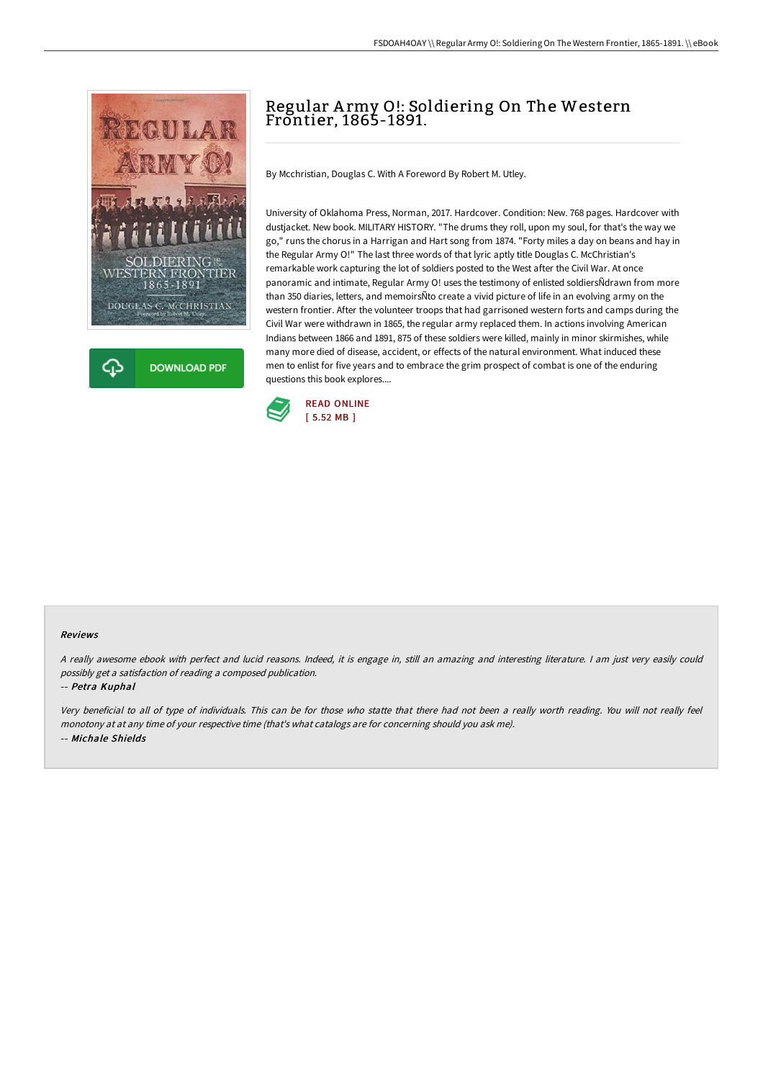



# Regular A rmy O!: Soldiering On The Western Frontier, 1865-1891.

By Mcchristian, Douglas C. With A Foreword By Robert M. Utley.

University of Oklahoma Press, Norman, 2017. Hardcover. Condition: New. 768 pages. Hardcover with dustjacket. New book. MILITARY HISTORY. "The drums they roll, upon my soul, for that's the way we go," runs the chorus in a Harrigan and Hart song from 1874. "Forty miles a day on beans and hay in the Regular Army O!" The last three words of that lyric aptly title Douglas C. McChristian's remarkable work capturing the lot of soldiers posted to the West after the Civil War. At once panoramic and intimate, Regular Army O! uses the testimony of enlisted soldiersÑdrawn from more than 350 diaries, letters, and memoirsÑto create a vivid picture of life in an evolving army on the western frontier. After the volunteer troops that had garrisoned western forts and camps during the Civil War were withdrawn in 1865, the regular army replaced them. In actions involving American Indians between 1866 and 1891, 875 of these soldiers were killed, mainly in minor skirmishes, while many more died of disease, accident, or effects of the natural environment. What induced these men to enlist for five years and to embrace the grim prospect of combat is one of the enduring questions this book explores....



#### Reviews

<sup>A</sup> really awesome ebook with perfect and lucid reasons. Indeed, it is engage in, still an amazing and interesting literature. <sup>I</sup> am just very easily could possibly get <sup>a</sup> satisfaction of reading <sup>a</sup> composed publication.

-- Petra Kuphal

Very beneficial to all of type of individuals. This can be for those who statte that there had not been <sup>a</sup> really worth reading. You will not really feel monotony at at any time of your respective time (that's what catalogs are for concerning should you ask me). -- Michale Shields